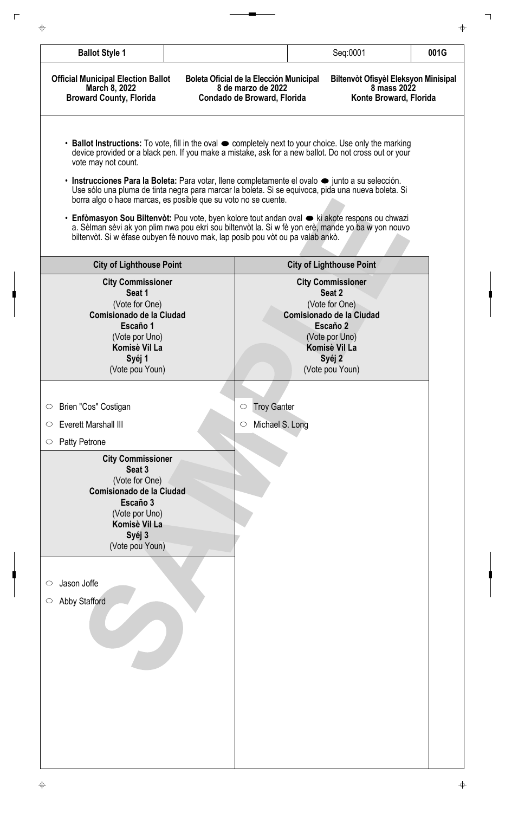| <b>Ballot Style 1</b>                                                                                                                                                                                                                                                                                                                                                                                                                                          |                                                                                              | Seq:0001                                                                                                                                                            | 001G |
|----------------------------------------------------------------------------------------------------------------------------------------------------------------------------------------------------------------------------------------------------------------------------------------------------------------------------------------------------------------------------------------------------------------------------------------------------------------|----------------------------------------------------------------------------------------------|---------------------------------------------------------------------------------------------------------------------------------------------------------------------|------|
| <b>Official Municipal Election Ballot</b><br>March 8, 2022<br><b>Broward County, Florida</b>                                                                                                                                                                                                                                                                                                                                                                   | Boleta Oficial de la Elección Municipal<br>8 de marzo de 2022<br>Condado de Broward, Florida | Biltenvòt Ofisyèl Eleksyon Minisipal<br>8 mass 2022<br>Konte Broward, Florida                                                                                       |      |
| • Ballot Instructions: To vote, fill in the oval $\bullet$ completely next to your choice. Use only the marking<br>device provided or a black pen. If you make a mistake, ask for a new ballot. Do not cross out or your<br>vote may not count.<br>• Instrucciones Para la Boleta: Para votar, llene completamente el ovalo $\bullet$ junto a su selección.                                                                                                    |                                                                                              |                                                                                                                                                                     |      |
| Use sólo una pluma de tinta negra para marcar la boleta. Si se equivoca, pida una nueva boleta. Si<br>borra algo o hace marcas, es posible que su voto no se cuente.<br>• Enfòmasyon Sou Biltenvòt: Pou vote, byen kolore tout andan oval · ki akote respons ou chwazi<br>a. Sèlman sèvi ak yon plim nwa pou ekri sou biltenvòt la. Si w fè yon erè, mande yo ba w yon nouvo<br>biltenvòt. Si w èfase oubyen fè nouvo mak, lap posib pou vòt ou pa valab ankò. |                                                                                              |                                                                                                                                                                     |      |
| <b>City of Lighthouse Point</b>                                                                                                                                                                                                                                                                                                                                                                                                                                |                                                                                              | <b>City of Lighthouse Point</b>                                                                                                                                     |      |
| <b>City Commissioner</b><br>Seat 1<br>(Vote for One)<br>Comisionado de la Ciudad<br>Escaño 1<br>(Vote por Uno)<br>Komisè Vil La<br>Syéj 1<br>(Vote pou Youn)                                                                                                                                                                                                                                                                                                   |                                                                                              | <b>City Commissioner</b><br>Seat 2<br>(Vote for One)<br><b>Comisionado de la Ciudad</b><br>Escaño 2<br>(Vote por Uno)<br>Komisè Vil La<br>Syéj 2<br>(Vote pou Youn) |      |
|                                                                                                                                                                                                                                                                                                                                                                                                                                                                |                                                                                              |                                                                                                                                                                     |      |
| Brien "Cos" Costigan<br>$\circlearrowright$                                                                                                                                                                                                                                                                                                                                                                                                                    | <b>Troy Ganter</b><br>$\circlearrowright$                                                    |                                                                                                                                                                     |      |
| <b>Everett Marshall III</b><br>$\circ$                                                                                                                                                                                                                                                                                                                                                                                                                         | Michael S. Long<br>$\circlearrowright$                                                       |                                                                                                                                                                     |      |
| <b>Patty Petrone</b><br>$\circ$<br><b>City Commissioner</b><br>Seat 3<br>(Vote for One)<br><b>Comisionado de la Ciudad</b><br>Escaño 3<br>(Vote por Uno)<br>Komisè Vil La<br>Syéj 3<br>(Vote pou Youn)                                                                                                                                                                                                                                                         |                                                                                              |                                                                                                                                                                     |      |
| Jason Joffe<br>$\circ$<br><b>Abby Stafford</b><br>$\circ$                                                                                                                                                                                                                                                                                                                                                                                                      |                                                                                              |                                                                                                                                                                     |      |
|                                                                                                                                                                                                                                                                                                                                                                                                                                                                |                                                                                              |                                                                                                                                                                     |      |

 $\Box$ 

┑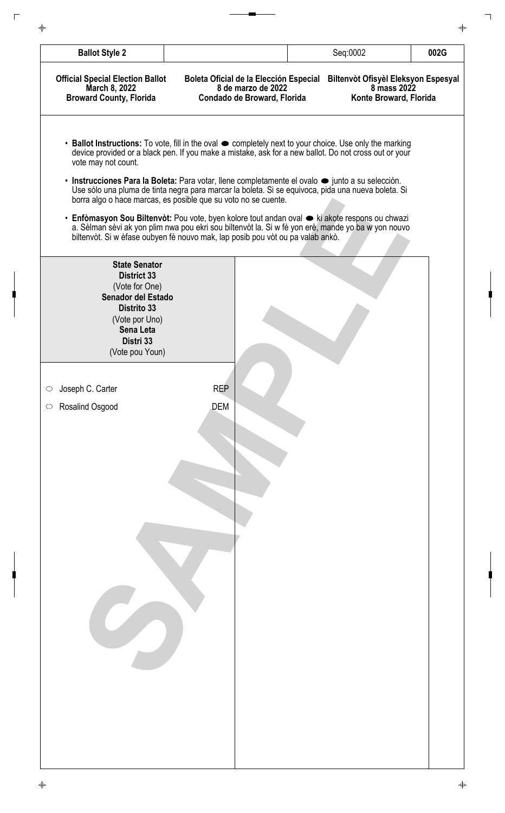| <b>Ballot Style 2</b>                                                                      |                                                                                                                                                  | Seq:0002                                                                                                                                                                                                                                                                                                                                                                                                                                                                                                                                                                                                                                                   | 002G |
|--------------------------------------------------------------------------------------------|--------------------------------------------------------------------------------------------------------------------------------------------------|------------------------------------------------------------------------------------------------------------------------------------------------------------------------------------------------------------------------------------------------------------------------------------------------------------------------------------------------------------------------------------------------------------------------------------------------------------------------------------------------------------------------------------------------------------------------------------------------------------------------------------------------------------|------|
|                                                                                            |                                                                                                                                                  |                                                                                                                                                                                                                                                                                                                                                                                                                                                                                                                                                                                                                                                            |      |
| <b>Official Special Election Ballot</b><br>March 8, 2022<br><b>Broward County, Florida</b> | Boleta Oficial de la Elección Especial<br>8 de marzo de 2022<br>Condado de Broward, Florida                                                      | Biltenvòt Ofisyèl Eleksyon Espesyal<br>8 mass 2022<br>Konte Broward, Florida                                                                                                                                                                                                                                                                                                                                                                                                                                                                                                                                                                               |      |
| vote may not count.                                                                        | borra algo o hace marcas, es posible que su voto no se cuente.<br>biltenvòt. Si w èfase oubyen fè nouvo mak, lap posib pou vòt ou pa valab ankò. | • Ballot Instructions: To vote, fill in the oval $\bullet$ completely next to your choice. Use only the marking<br>device provided or a black pen. If you make a mistake, ask for a new ballot. Do not cross out or your<br>• Instrucciones Para la Boleta: Para votar, llene completamente el ovalo $\bullet$ junto a su selección.<br>Use sólo una pluma de tinta negra para marcar la boleta. Si se equivoca, pida una nueva boleta. Si<br>• Enfòmasyon Sou Biltenvòt: Pou vote, byen kolore tout andan oval $\bullet$ ki akote respons ou chwazi<br>a. Sèlman sèvi ak yon plim nwa pou ekri sou biltenvòt la. Si w fè yon erè, mande yo ba w yon nouvo |      |
| <b>State Senator</b>                                                                       |                                                                                                                                                  |                                                                                                                                                                                                                                                                                                                                                                                                                                                                                                                                                                                                                                                            |      |
| <b>District 33</b>                                                                         |                                                                                                                                                  |                                                                                                                                                                                                                                                                                                                                                                                                                                                                                                                                                                                                                                                            |      |
| (Vote for One)<br>Senador del Estado                                                       |                                                                                                                                                  |                                                                                                                                                                                                                                                                                                                                                                                                                                                                                                                                                                                                                                                            |      |
| <b>Distrito 33</b><br>(Vote por Uno)                                                       |                                                                                                                                                  |                                                                                                                                                                                                                                                                                                                                                                                                                                                                                                                                                                                                                                                            |      |
| <b>Sena Leta</b>                                                                           |                                                                                                                                                  |                                                                                                                                                                                                                                                                                                                                                                                                                                                                                                                                                                                                                                                            |      |
| Distri 33<br>(Vote pou Youn)                                                               |                                                                                                                                                  |                                                                                                                                                                                                                                                                                                                                                                                                                                                                                                                                                                                                                                                            |      |
|                                                                                            |                                                                                                                                                  |                                                                                                                                                                                                                                                                                                                                                                                                                                                                                                                                                                                                                                                            |      |
| Joseph C. Carter                                                                           | <b>REP</b>                                                                                                                                       |                                                                                                                                                                                                                                                                                                                                                                                                                                                                                                                                                                                                                                                            |      |
| Rosalind Osgood                                                                            | DEM                                                                                                                                              |                                                                                                                                                                                                                                                                                                                                                                                                                                                                                                                                                                                                                                                            |      |
|                                                                                            |                                                                                                                                                  |                                                                                                                                                                                                                                                                                                                                                                                                                                                                                                                                                                                                                                                            |      |
|                                                                                            |                                                                                                                                                  |                                                                                                                                                                                                                                                                                                                                                                                                                                                                                                                                                                                                                                                            |      |
|                                                                                            |                                                                                                                                                  |                                                                                                                                                                                                                                                                                                                                                                                                                                                                                                                                                                                                                                                            |      |
|                                                                                            |                                                                                                                                                  |                                                                                                                                                                                                                                                                                                                                                                                                                                                                                                                                                                                                                                                            |      |
|                                                                                            |                                                                                                                                                  |                                                                                                                                                                                                                                                                                                                                                                                                                                                                                                                                                                                                                                                            |      |
|                                                                                            |                                                                                                                                                  |                                                                                                                                                                                                                                                                                                                                                                                                                                                                                                                                                                                                                                                            |      |
|                                                                                            |                                                                                                                                                  |                                                                                                                                                                                                                                                                                                                                                                                                                                                                                                                                                                                                                                                            |      |
|                                                                                            |                                                                                                                                                  |                                                                                                                                                                                                                                                                                                                                                                                                                                                                                                                                                                                                                                                            |      |
|                                                                                            |                                                                                                                                                  |                                                                                                                                                                                                                                                                                                                                                                                                                                                                                                                                                                                                                                                            |      |
|                                                                                            |                                                                                                                                                  |                                                                                                                                                                                                                                                                                                                                                                                                                                                                                                                                                                                                                                                            |      |
|                                                                                            |                                                                                                                                                  |                                                                                                                                                                                                                                                                                                                                                                                                                                                                                                                                                                                                                                                            |      |
|                                                                                            |                                                                                                                                                  |                                                                                                                                                                                                                                                                                                                                                                                                                                                                                                                                                                                                                                                            |      |
|                                                                                            |                                                                                                                                                  |                                                                                                                                                                                                                                                                                                                                                                                                                                                                                                                                                                                                                                                            |      |
|                                                                                            |                                                                                                                                                  |                                                                                                                                                                                                                                                                                                                                                                                                                                                                                                                                                                                                                                                            |      |
|                                                                                            |                                                                                                                                                  |                                                                                                                                                                                                                                                                                                                                                                                                                                                                                                                                                                                                                                                            |      |
|                                                                                            |                                                                                                                                                  |                                                                                                                                                                                                                                                                                                                                                                                                                                                                                                                                                                                                                                                            |      |
|                                                                                            |                                                                                                                                                  |                                                                                                                                                                                                                                                                                                                                                                                                                                                                                                                                                                                                                                                            |      |
|                                                                                            |                                                                                                                                                  |                                                                                                                                                                                                                                                                                                                                                                                                                                                                                                                                                                                                                                                            |      |
|                                                                                            |                                                                                                                                                  |                                                                                                                                                                                                                                                                                                                                                                                                                                                                                                                                                                                                                                                            |      |

 $\Box$ 

┑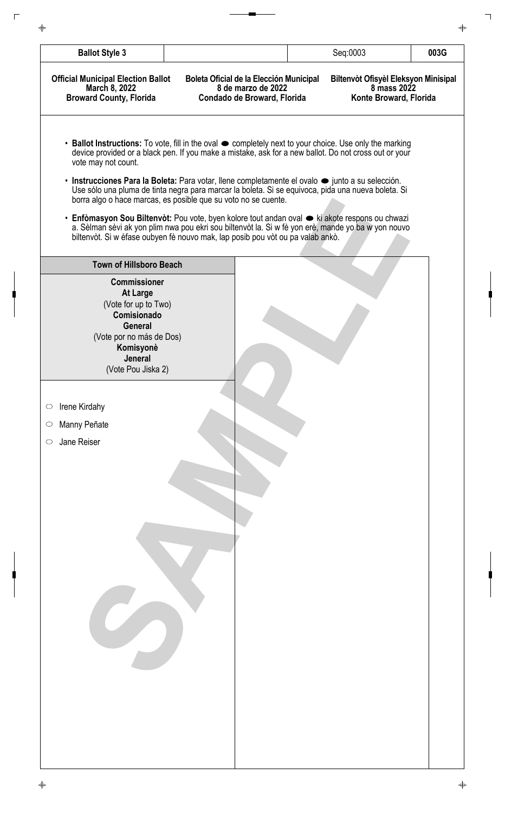| <b>Ballot Style 3</b>                                                                                                                                                            |                                                                                                                                                                                                                                                                                                                                                                                                                                                                                                      | Seq:0003                                                                             | 003G |
|----------------------------------------------------------------------------------------------------------------------------------------------------------------------------------|------------------------------------------------------------------------------------------------------------------------------------------------------------------------------------------------------------------------------------------------------------------------------------------------------------------------------------------------------------------------------------------------------------------------------------------------------------------------------------------------------|--------------------------------------------------------------------------------------|------|
| <b>Official Municipal Election Ballot</b><br>March 8, 2022<br><b>Broward County, Florida</b>                                                                                     | Boleta Oficial de la Elección Municipal<br>8 de marzo de 2022<br>Condado de Broward, Florida                                                                                                                                                                                                                                                                                                                                                                                                         | <b>Biltenvot Ofisyel Eleksyon Minisipal</b><br>8 mass 2022<br>Konte Broward, Florida |      |
| vote may not count.                                                                                                                                                              | • Ballot Instructions: To vote, fill in the oval $\bullet$ completely next to your choice. Use only the marking<br>device provided or a black pen. If you make a mistake, ask for a new ballot. Do not cross out or your<br>· Instrucciones Para la Boleta: Para votar, llene completamente el ovalo · junto a su selección.<br>Use sólo una pluma de tinta negra para marcar la boleta. Si se equivoca, pida una nueva boleta. Si<br>borra algo o hace marcas, es posible que su voto no se cuente. |                                                                                      |      |
|                                                                                                                                                                                  | • Enfòmasyon Sou Biltenvòt: Pou vote, byen kolore tout andan oval • ki akote respons ou chwazi<br>a. Sèlman sèvi ak yon plim nwa pou ekri sou biltenvòt la. Si w fè yon erè, mande yo ba w yon nouvo<br>biltenvòt. Si w èfase oubyen fè nouvo mak, lap posib pou vòt ou pa valab ankò.                                                                                                                                                                                                               |                                                                                      |      |
| <b>Town of Hillsboro Beach</b>                                                                                                                                                   |                                                                                                                                                                                                                                                                                                                                                                                                                                                                                                      |                                                                                      |      |
| <b>Commissioner</b><br><b>At Large</b><br>(Vote for up to Two)<br>Comisionado<br><b>General</b><br>(Vote por no más de Dos)<br>Komisyonè<br><b>Jeneral</b><br>(Vote Pou Jiska 2) |                                                                                                                                                                                                                                                                                                                                                                                                                                                                                                      |                                                                                      |      |
|                                                                                                                                                                                  |                                                                                                                                                                                                                                                                                                                                                                                                                                                                                                      |                                                                                      |      |
| Irene Kirdahy<br>$\bigcirc$                                                                                                                                                      |                                                                                                                                                                                                                                                                                                                                                                                                                                                                                                      |                                                                                      |      |
| Manny Peñate<br>$\circ$                                                                                                                                                          |                                                                                                                                                                                                                                                                                                                                                                                                                                                                                                      |                                                                                      |      |
| Jane Reiser<br>$\circ$                                                                                                                                                           |                                                                                                                                                                                                                                                                                                                                                                                                                                                                                                      |                                                                                      |      |
|                                                                                                                                                                                  |                                                                                                                                                                                                                                                                                                                                                                                                                                                                                                      |                                                                                      |      |
|                                                                                                                                                                                  |                                                                                                                                                                                                                                                                                                                                                                                                                                                                                                      |                                                                                      |      |
|                                                                                                                                                                                  |                                                                                                                                                                                                                                                                                                                                                                                                                                                                                                      |                                                                                      |      |

 $\overline{\phantom{a}}$ 

 $\overline{\phantom{a}}$ 

 $\overline{\phantom{a}}$ 

╽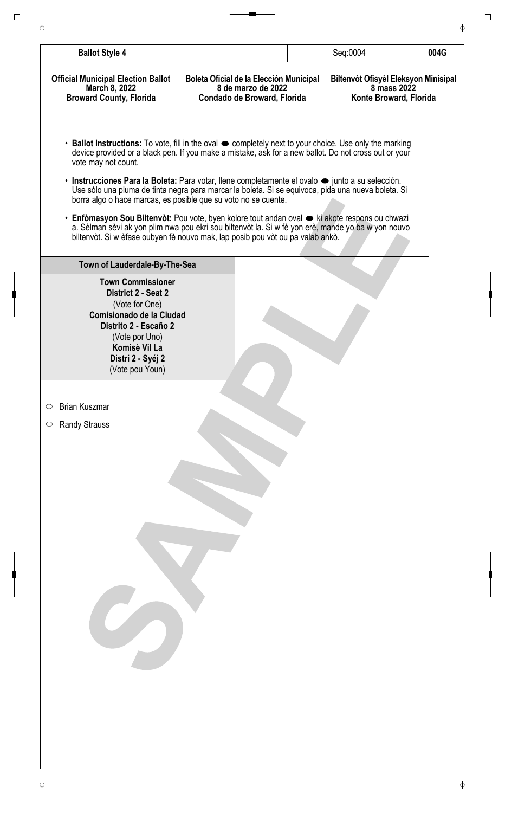| <b>Ballot Style 4</b>                                                                                                                                                                             |                                                                                                                                                                                                                                                                                                | Seq:0004 | 004G                                                                          |
|---------------------------------------------------------------------------------------------------------------------------------------------------------------------------------------------------|------------------------------------------------------------------------------------------------------------------------------------------------------------------------------------------------------------------------------------------------------------------------------------------------|----------|-------------------------------------------------------------------------------|
| <b>Official Municipal Election Ballot</b><br>March 8, 2022<br><b>Broward County, Florida</b>                                                                                                      | Boleta Oficial de la Elección Municipal<br>8 de marzo de 2022<br>Condado de Broward, Florida                                                                                                                                                                                                   |          | Biltenvòt Ofisyèl Eleksyon Minisipal<br>8 mass 2022<br>Konte Broward, Florida |
| vote may not count.                                                                                                                                                                               | • Ballot Instructions: To vote, fill in the oval $\bullet$ completely next to your choice. Use only the marking<br>device provided or a black pen. If you make a mistake, ask for a new ballot. Do not cross out or your                                                                       |          |                                                                               |
|                                                                                                                                                                                                   | • Instrucciones Para la Boleta: Para votar, llene completamente el ovalo $\bullet$ junto a su selección.<br>Use sólo una pluma de tinta negra para marcar la boleta. Si se equivoca, pida una nueva boleta. Si<br>borra algo o hace marcas, es posible que su voto no se cuente.               |          |                                                                               |
|                                                                                                                                                                                                   | • Enfòmasyon Sou Biltenvòt: Pou vote, byen kolore tout andan oval $\bullet$ ki akote respons ou chwazi<br>a. Sèlman sèvi ak yon plim nwa pou ekri sou biltenvòt la. Si w fè yon erè, mande yo ba w yon nouvo<br>biltenvòt. Si w èfase oubyen fè nouvo mak, lap posib pou vòt ou pa valab ankò. |          |                                                                               |
| Town of Lauderdale-By-The-Sea                                                                                                                                                                     |                                                                                                                                                                                                                                                                                                |          |                                                                               |
| <b>Town Commissioner</b><br>District 2 - Seat 2<br>(Vote for One)<br>Comisionado de la Ciudad<br>Distrito 2 - Escaño 2<br>(Vote por Uno)<br>Komisè Vil La<br>Distri 2 - Syéj 2<br>(Vote pou Youn) |                                                                                                                                                                                                                                                                                                |          |                                                                               |
| <b>Brian Kuszmar</b><br>$\circ$<br><b>Randy Strauss</b><br>$\circlearrowright$                                                                                                                    |                                                                                                                                                                                                                                                                                                |          |                                                                               |
|                                                                                                                                                                                                   |                                                                                                                                                                                                                                                                                                |          |                                                                               |
|                                                                                                                                                                                                   |                                                                                                                                                                                                                                                                                                |          |                                                                               |
|                                                                                                                                                                                                   |                                                                                                                                                                                                                                                                                                |          |                                                                               |
|                                                                                                                                                                                                   |                                                                                                                                                                                                                                                                                                |          |                                                                               |
|                                                                                                                                                                                                   |                                                                                                                                                                                                                                                                                                |          |                                                                               |
|                                                                                                                                                                                                   |                                                                                                                                                                                                                                                                                                |          |                                                                               |
|                                                                                                                                                                                                   |                                                                                                                                                                                                                                                                                                |          |                                                                               |
|                                                                                                                                                                                                   |                                                                                                                                                                                                                                                                                                |          |                                                                               |
|                                                                                                                                                                                                   |                                                                                                                                                                                                                                                                                                |          |                                                                               |
|                                                                                                                                                                                                   |                                                                                                                                                                                                                                                                                                |          |                                                                               |

 $\overline{\phantom{a}}$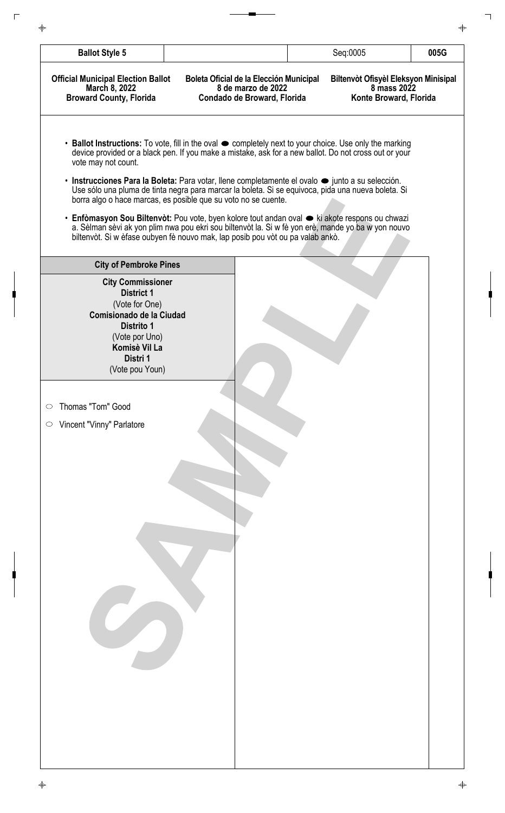| <b>Ballot Style 5</b>                                                                                                                                                       |                                                                                                                                                                                                                                                                                                | Seq:0005                                                                      | 005G |
|-----------------------------------------------------------------------------------------------------------------------------------------------------------------------------|------------------------------------------------------------------------------------------------------------------------------------------------------------------------------------------------------------------------------------------------------------------------------------------------|-------------------------------------------------------------------------------|------|
| <b>Official Municipal Election Ballot</b><br>March 8, 2022<br><b>Broward County, Florida</b>                                                                                | Boleta Oficial de la Elección Municipal<br>8 de marzo de 2022<br>Condado de Broward, Florida                                                                                                                                                                                                   | Biltenvòt Ofisyèl Eleksyon Minisipal<br>8 mass 2022<br>Konte Broward, Florida |      |
| vote may not count.                                                                                                                                                         | • Ballot Instructions: To vote, fill in the oval $\bullet$ completely next to your choice. Use only the marking<br>device provided or a black pen. If you make a mistake, ask for a new ballot. Do not cross out or your                                                                       |                                                                               |      |
|                                                                                                                                                                             | • Instrucciones Para la Boleta: Para votar, llene completamente el ovalo $\bullet$ junto a su selección.<br>Use sólo una pluma de tinta negra para marcar la boleta. Si se equivoca, pida una nueva boleta. Si<br>borra algo o hace marcas, es posible que su voto no se cuente.               |                                                                               |      |
|                                                                                                                                                                             | • Enfòmasyon Sou Biltenvòt: Pou vote, byen kolore tout andan oval $\bullet$ ki akote respons ou chwazi<br>a. Sèlman sèvi ak yon plim nwa pou ekri sou biltenvòt la. Si w fè yon erè, mande yo ba w yon nouvo<br>biltenvòt. Si w èfase oubyen fè nouvo mak, lap posib pou vòt ou pa valab ankò. |                                                                               |      |
| <b>City of Pembroke Pines</b>                                                                                                                                               |                                                                                                                                                                                                                                                                                                |                                                                               |      |
| <b>City Commissioner</b><br><b>District 1</b><br>(Vote for One)<br>Comisionado de la Ciudad<br>Distrito 1<br>(Vote por Uno)<br>Komisè Vil La<br>Distri 1<br>(Vote pou Youn) |                                                                                                                                                                                                                                                                                                |                                                                               |      |
| Thomas "Tom" Good<br>$\circ$                                                                                                                                                |                                                                                                                                                                                                                                                                                                |                                                                               |      |
| Vincent "Vinny" Parlatore<br>$\circ$                                                                                                                                        |                                                                                                                                                                                                                                                                                                |                                                                               |      |
|                                                                                                                                                                             |                                                                                                                                                                                                                                                                                                |                                                                               |      |
|                                                                                                                                                                             |                                                                                                                                                                                                                                                                                                |                                                                               |      |
|                                                                                                                                                                             |                                                                                                                                                                                                                                                                                                |                                                                               |      |
|                                                                                                                                                                             |                                                                                                                                                                                                                                                                                                |                                                                               |      |
|                                                                                                                                                                             |                                                                                                                                                                                                                                                                                                |                                                                               |      |
|                                                                                                                                                                             |                                                                                                                                                                                                                                                                                                |                                                                               |      |
|                                                                                                                                                                             |                                                                                                                                                                                                                                                                                                |                                                                               |      |
|                                                                                                                                                                             |                                                                                                                                                                                                                                                                                                |                                                                               |      |
|                                                                                                                                                                             |                                                                                                                                                                                                                                                                                                |                                                                               |      |
|                                                                                                                                                                             |                                                                                                                                                                                                                                                                                                |                                                                               |      |

 $\overline{\phantom{a}}$